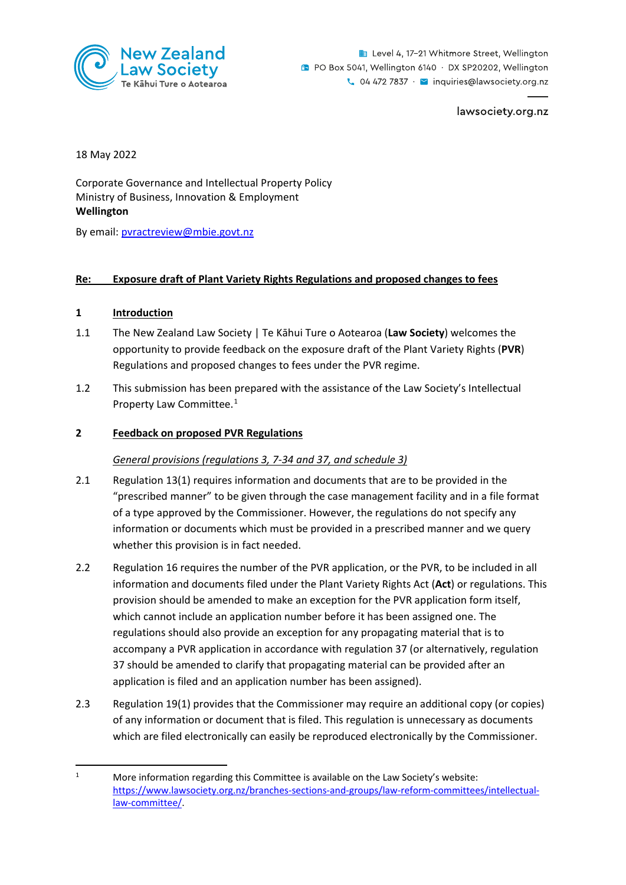

Level 4, 17-21 Whitmore Street, Wellington **D** PO Box 5041, Wellington 6140 · DX SP20202, Wellington ↓ 04 472 7837 · ■ inquiries@lawsociety.org.nz

lawsociety.org.nz

18 May 2022

Corporate Governance and Intellectual Property Policy Ministry of Business, Innovation & Employment **Wellington** 

By email: [pvractreview@mbie.govt.nz](mailto:pvractreview@mbie.govt.nz) 

#### **Re: Exposure draft of Plant Variety Rights Regulations and proposed changes to fees**

#### **1 Introduction**

- 1.1 The New Zealand Law Society | Te Kāhui Ture o Aotearoa (**Law Society**) welcomes the opportunity to provide feedback on the exposure draft of the Plant Variety Rights (**PVR**) Regulations and proposed changes to fees under the PVR regime.
- 1.2 This submission has been prepared with the assistance of the Law Society's Intellectual Property Law Committee.<sup>[1](#page-0-0)</sup>

#### **2 Feedback on proposed PVR Regulations**

#### *General provisions (regulations 3, 7-34 and 37, and schedule 3)*

- 2.1 Regulation 13(1) requires information and documents that are to be provided in the "prescribed manner" to be given through the case management facility and in a file format of a type approved by the Commissioner. However, the regulations do not specify any information or documents which must be provided in a prescribed manner and we query whether this provision is in fact needed.
- 2.2 Regulation 16 requires the number of the PVR application, or the PVR, to be included in all information and documents filed under the Plant Variety Rights Act (**Act**) or regulations. This provision should be amended to make an exception for the PVR application form itself, which cannot include an application number before it has been assigned one. The regulations should also provide an exception for any propagating material that is to accompany a PVR application in accordance with regulation 37 (or alternatively, regulation 37 should be amended to clarify that propagating material can be provided after an application is filed and an application number has been assigned).
- 2.3 Regulation 19(1) provides that the Commissioner may require an additional copy (or copies) of any information or document that is filed. This regulation is unnecessary as documents which are filed electronically can easily be reproduced electronically by the Commissioner.

<span id="page-0-0"></span><sup>1</sup> More information regarding this Committee is available on the Law Society's website: [https://www.lawsociety.org.nz/branches-sections-and-groups/law-reform-committees/intellectual](https://www.lawsociety.org.nz/branches-sections-and-groups/law-reform-committees/intellectual-law-committee/)[law-committee/.](https://www.lawsociety.org.nz/branches-sections-and-groups/law-reform-committees/intellectual-law-committee/)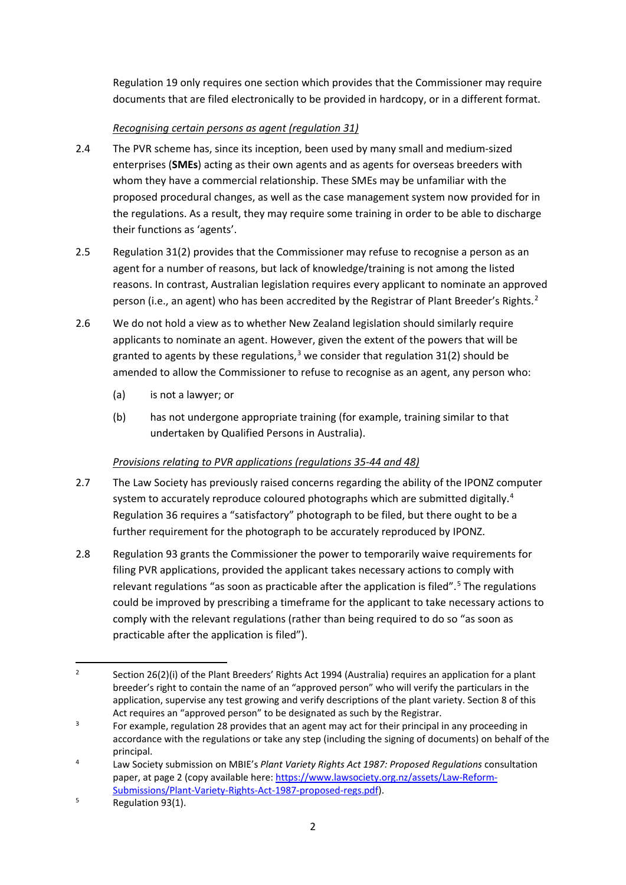Regulation 19 only requires one section which provides that the Commissioner may require documents that are filed electronically to be provided in hardcopy, or in a different format.

## *Recognising certain persons as agent (regulation 31)*

- 2.4 The PVR scheme has, since its inception, been used by many small and medium-sized enterprises (**SMEs**) acting as their own agents and as agents for overseas breeders with whom they have a commercial relationship. These SMEs may be unfamiliar with the proposed procedural changes, as well as the case management system now provided for in the regulations. As a result, they may require some training in order to be able to discharge their functions as 'agents'.
- 2.5 Regulation 31(2) provides that the Commissioner may refuse to recognise a person as an agent for a number of reasons, but lack of knowledge/training is not among the listed reasons. In contrast, Australian legislation requires every applicant to nominate an approved person (i.e., an agent) who has been accredited by the Registrar of Plant Breeder's Rights.<sup>[2](#page-1-0)</sup>
- 2.6 We do not hold a view as to whether New Zealand legislation should similarly require applicants to nominate an agent. However, given the extent of the powers that will be granted to agents by these regulations,<sup>[3](#page-1-1)</sup> we consider that regulation 31(2) should be amended to allow the Commissioner to refuse to recognise as an agent, any person who:
	- (a) is not a lawyer; or
	- (b) has not undergone appropriate training (for example, training similar to that undertaken by Qualified Persons in Australia).

# *Provisions relating to PVR applications (regulations 35-44 and 48)*

- 2.7 The Law Society has previously raised concerns regarding the ability of the IPONZ computer system to accurately reproduce coloured photographs which are submitted digitally.<sup>[4](#page-1-2)</sup> Regulation 36 requires a "satisfactory" photograph to be filed, but there ought to be a further requirement for the photograph to be accurately reproduced by IPONZ.
- 2.8 Regulation 93 grants the Commissioner the power to temporarily waive requirements for filing PVR applications, provided the applicant takes necessary actions to comply with relevant regulations "as soon as practicable after the application is filed".<sup>[5](#page-1-3)</sup> The regulations could be improved by prescribing a timeframe for the applicant to take necessary actions to comply with the relevant regulations (rather than being required to do so "as soon as practicable after the application is filed").

<span id="page-1-0"></span><sup>2</sup> Section 26(2)(i) of the Plant Breeders' Rights Act 1994 (Australia) requires an application for a plant breeder's right to contain the name of an "approved person" who will verify the particulars in the application, supervise any test growing and verify descriptions of the plant variety. Section 8 of this Act requires an "approved person" to be designated as such by the Registrar.

<span id="page-1-1"></span><sup>3</sup> For example, regulation 28 provides that an agent may act for their principal in any proceeding in accordance with the regulations or take any step (including the signing of documents) on behalf of the principal.

<span id="page-1-2"></span>Law Society submission on MBIE's *Plant Variety Rights Act 1987: Proposed Regulations* consultation paper, at page 2 (copy available here: [https://www.lawsociety.org.nz/assets/Law-Reform-](https://www.lawsociety.org.nz/assets/Law-Reform-Submissions/Plant-Variety-Rights-Act-1987-proposed-regs.pdf)Submissions/Plant-Variety-Rights-Act[-1987-proposed-regs.pdf\)](https://www.lawsociety.org.nz/assets/Law-Reform-Submissions/Plant-Variety-Rights-Act-1987-proposed-regs.pdf).

<span id="page-1-3"></span>Regulation 93(1).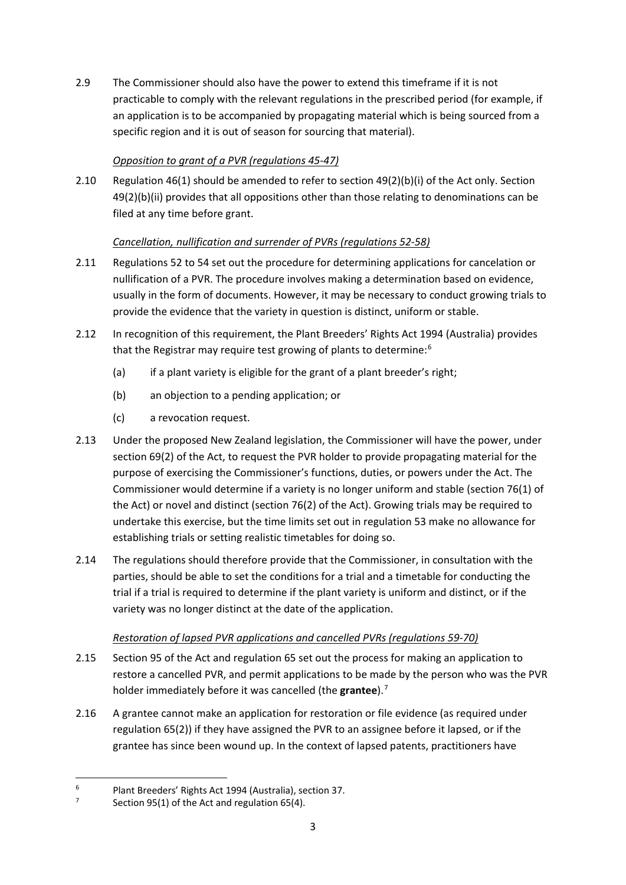2.9 The Commissioner should also have the power to extend this timeframe if it is not practicable to comply with the relevant regulations in the prescribed period (for example, if an application is to be accompanied by propagating material which is being sourced from a specific region and it is out of season for sourcing that material).

## *Opposition to grant of a PVR (regulations 45-47)*

2.10 Regulation 46(1) should be amended to refer to section 49(2)(b)(i) of the Act only. Section 49(2)(b)(ii) provides that all oppositions other than those relating to denominations can be filed at any time before grant.

## *Cancellation, nullification and surrender of PVRs (regulations 52-58)*

- 2.11 Regulations 52 to 54 set out the procedure for determining applications for cancelation or nullification of a PVR. The procedure involves making a determination based on evidence, usually in the form of documents. However, it may be necessary to conduct growing trials to provide the evidence that the variety in question is distinct, uniform or stable.
- 2.12 In recognition of this requirement, the Plant Breeders' Rights Act 1994 (Australia) provides that the Registrar may require test growing of plants to determine: [6](#page-2-0)
	- (a) if a plant variety is eligible for the grant of a plant breeder's right;
	- (b) an objection to a pending application; or
	- (c) a revocation request.
- 2.13 Under the proposed New Zealand legislation, the Commissioner will have the power, under section 69(2) of the Act, to request the PVR holder to provide propagating material for the purpose of exercising the Commissioner's functions, duties, or powers under the Act. The Commissioner would determine if a variety is no longer uniform and stable (section 76(1) of the Act) or novel and distinct (section 76(2) of the Act). Growing trials may be required to undertake this exercise, but the time limits set out in regulation 53 make no allowance for establishing trials or setting realistic timetables for doing so.
- 2.14 The regulations should therefore provide that the Commissioner, in consultation with the parties, should be able to set the conditions for a trial and a timetable for conducting the trial if a trial is required to determine if the plant variety is uniform and distinct, or if the variety was no longer distinct at the date of the application.

# *Restoration of lapsed PVR applications and cancelled PVRs (regulations 59-70)*

- 2.15 Section 95 of the Act and regulation 65 set out the process for making an application to restore a cancelled PVR, and permit applications to be made by the person who was the PVR holder immediately before it was cancelled (the **grantee**).[7](#page-2-1)
- 2.16 A grantee cannot make an application for restoration or file evidence (as required under regulation 65(2)) if they have assigned the PVR to an assignee before it lapsed, or if the grantee has since been wound up. In the context of lapsed patents, practitioners have

<span id="page-2-0"></span><sup>6</sup> <sup>6</sup> Plant Breeders' Rights Act 1994 (Australia), section 37.

<span id="page-2-1"></span>Section 95(1) of the Act and regulation 65(4).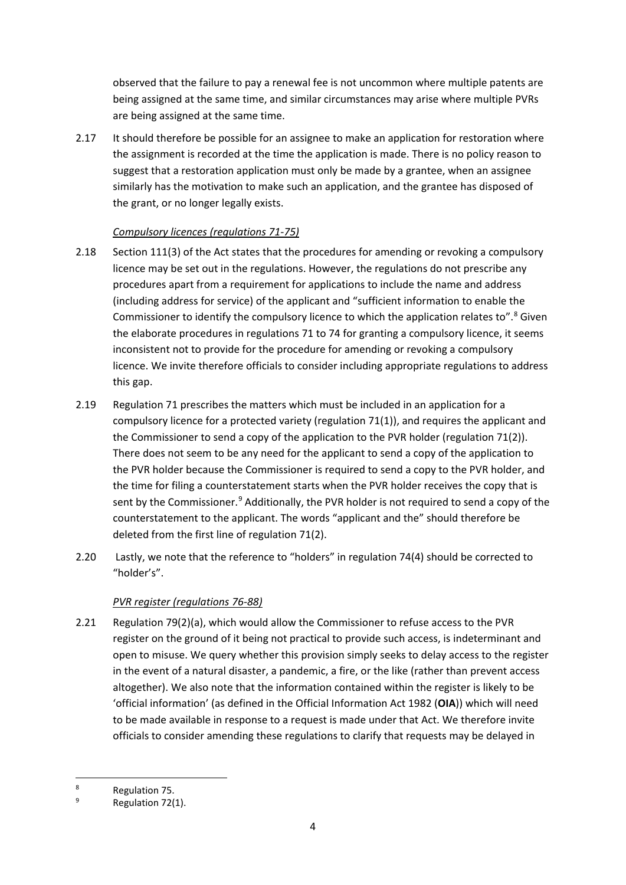observed that the failure to pay a renewal fee is not uncommon where multiple patents are being assigned at the same time, and similar circumstances may arise where multiple PVRs are being assigned at the same time.

2.17 It should therefore be possible for an assignee to make an application for restoration where the assignment is recorded at the time the application is made. There is no policy reason to suggest that a restoration application must only be made by a grantee, when an assignee similarly has the motivation to make such an application, and the grantee has disposed of the grant, or no longer legally exists.

### *Compulsory licences (regulations 71-75)*

- 2.18 Section 111(3) of the Act states that the procedures for amending or revoking a compulsory licence may be set out in the regulations. However, the regulations do not prescribe any procedures apart from a requirement for applications to include the name and address (including address for service) of the applicant and "sufficient information to enable the Commissioner to identify the compulsory licence to which the application relates to".<sup>[8](#page-3-0)</sup> Given the elaborate procedures in regulations 71 to 74 for granting a compulsory licence, it seems inconsistent not to provide for the procedure for amending or revoking a compulsory licence. We invite therefore officials to consider including appropriate regulations to address this gap.
- 2.19 Regulation 71 prescribes the matters which must be included in an application for a compulsory licence for a protected variety (regulation 71(1)), and requires the applicant and the Commissioner to send a copy of the application to the PVR holder (regulation 71(2)). There does not seem to be any need for the applicant to send a copy of the application to the PVR holder because the Commissioner is required to send a copy to the PVR holder, and the time for filing a counterstatement starts when the PVR holder receives the copy that is sent by the Commissioner.<sup>[9](#page-3-1)</sup> Additionally, the PVR holder is not required to send a copy of the counterstatement to the applicant. The words "applicant and the" should therefore be deleted from the first line of regulation 71(2).
- 2.20 Lastly, we note that the reference to "holders" in regulation 74(4) should be corrected to "holder's".

## *PVR register (regulations 76-88)*

2.21 Regulation 79(2)(a), which would allow the Commissioner to refuse access to the PVR register on the ground of it being not practical to provide such access, is indeterminant and open to misuse. We query whether this provision simply seeks to delay access to the register in the event of a natural disaster, a pandemic, a fire, or the like (rather than prevent access altogether). We also note that the information contained within the register is likely to be 'official information' (as defined in the Official Information Act 1982 (**OIA**)) which will need to be made available in response to a request is made under that Act. We therefore invite officials to consider amending these regulations to clarify that requests may be delayed in

<span id="page-3-0"></span><sup>8</sup>  $\frac{8}{9}$  Regulation 75.

<span id="page-3-1"></span>Regulation 72(1).